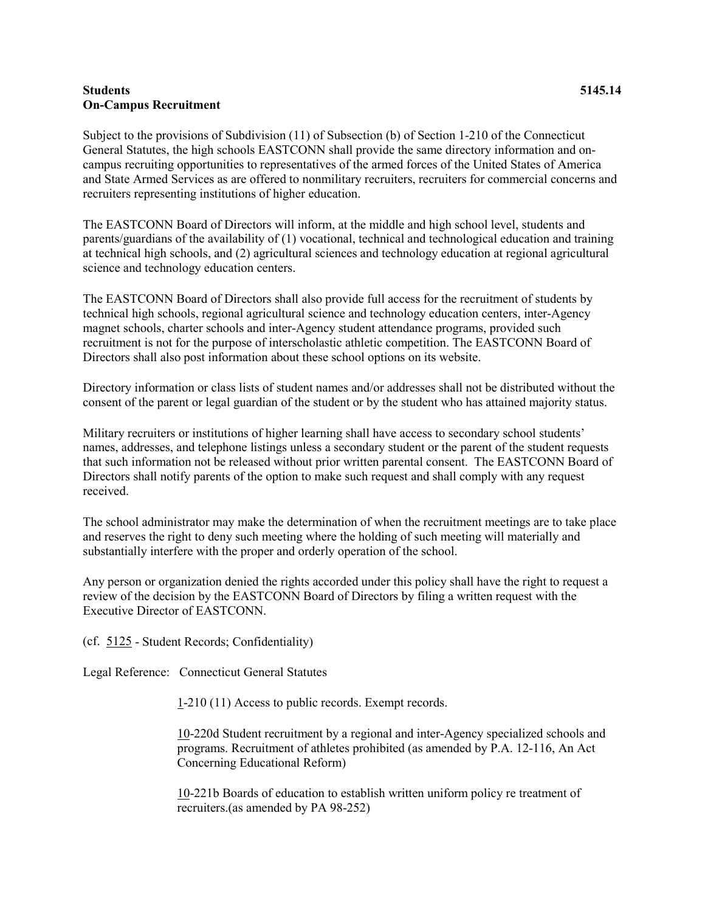## **Students 5145.14 On-Campus Recruitment**

Subject to the provisions of Subdivision (11) of Subsection (b) of Section 1-210 of the Connecticut General Statutes, the high schools EASTCONN shall provide the same directory information and oncampus recruiting opportunities to representatives of the armed forces of the United States of America and State Armed Services as are offered to nonmilitary recruiters, recruiters for commercial concerns and recruiters representing institutions of higher education.

The EASTCONN Board of Directors will inform, at the middle and high school level, students and parents/guardians of the availability of (1) vocational, technical and technological education and training at technical high schools, and (2) agricultural sciences and technology education at regional agricultural science and technology education centers.

The EASTCONN Board of Directors shall also provide full access for the recruitment of students by technical high schools, regional agricultural science and technology education centers, inter-Agency magnet schools, charter schools and inter-Agency student attendance programs, provided such recruitment is not for the purpose of interscholastic athletic competition. The EASTCONN Board of Directors shall also post information about these school options on its website.

Directory information or class lists of student names and/or addresses shall not be distributed without the consent of the parent or legal guardian of the student or by the student who has attained majority status.

Military recruiters or institutions of higher learning shall have access to secondary school students' names, addresses, and telephone listings unless a secondary student or the parent of the student requests that such information not be released without prior written parental consent. The EASTCONN Board of Directors shall notify parents of the option to make such request and shall comply with any request received.

The school administrator may make the determination of when the recruitment meetings are to take place and reserves the right to deny such meeting where the holding of such meeting will materially and substantially interfere with the proper and orderly operation of the school.

Any person or organization denied the rights accorded under this policy shall have the right to request a review of the decision by the EASTCONN Board of Directors by filing a written request with the Executive Director of EASTCONN.

(cf. [5125](http://z2policy.cabe.org/cabe/DocViewer.jsp?docid=255&z2collection=core#JD_5125) - Student Records; Confidentiality)

Legal Reference: Connecticut General Statutes

[1-](http://www.cga.ct.gov/2011/pub/Title1.htm)210 (11) Access to public records. Exempt records.

[10-](http://www.cga.ct.gov/2011/pub/Title10.htm)220d Student recruitment by a regional and inter-Agency specialized schools and programs. Recruitment of athletes prohibited (as amended by P.A. 12-116, An Act Concerning Educational Reform)

[10-](http://www.cga.ct.gov/2011/pub/Title10.htm)221b Boards of education to establish written uniform policy re treatment of recruiters.(as amended by PA 98-252)